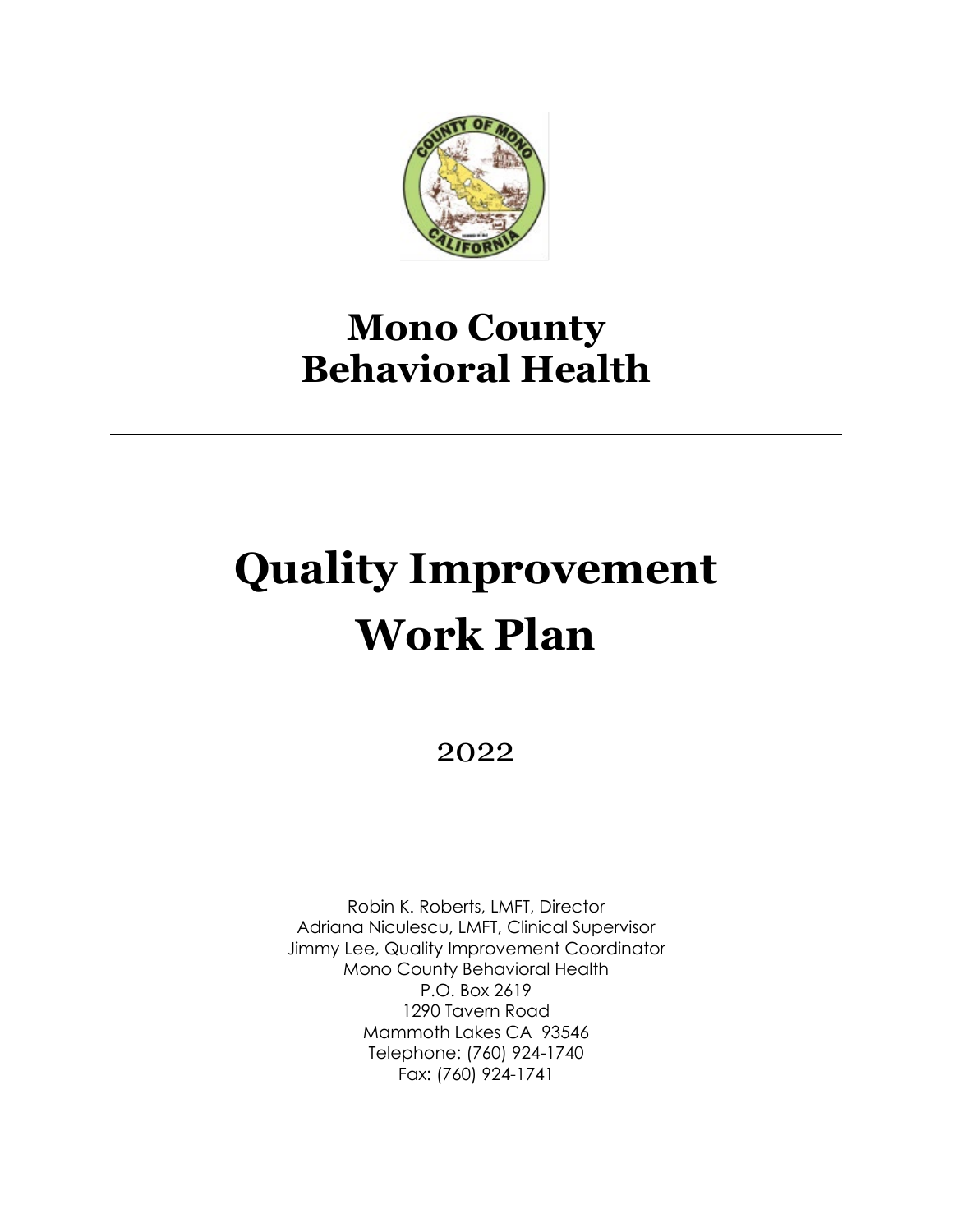

# **Mono County Behavioral Health**

# **Quality Improvement Work Plan**

2022

Robin K. Roberts, LMFT, Director Adriana Niculescu, LMFT, Clinical Supervisor Jimmy Lee, Quality Improvement Coordinator Mono County Behavioral Health P.O. Box 2619 1290 Tavern Road Mammoth Lakes CA 93546 Telephone: (760) 924-1740 Fax: (760) 924-1741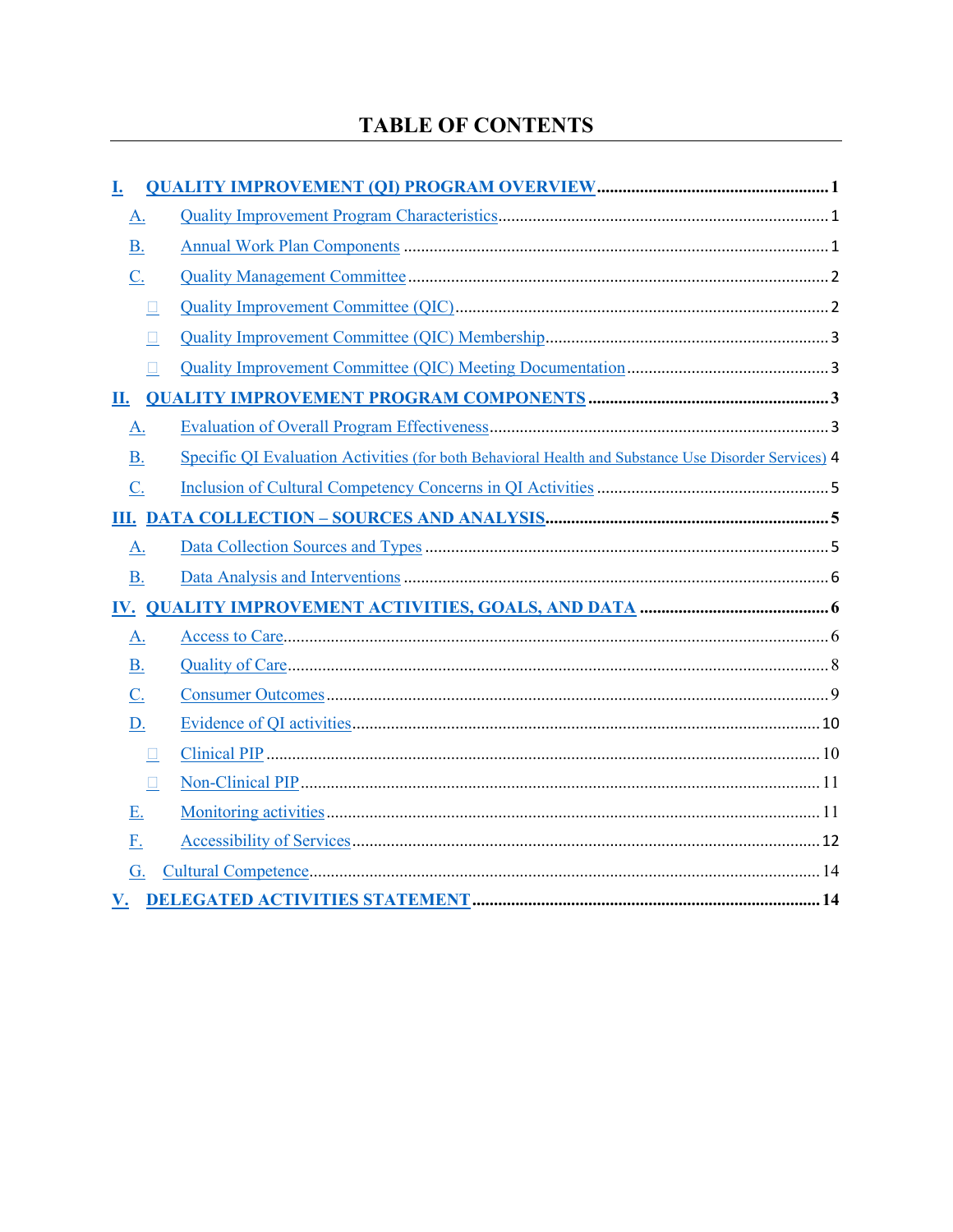# **TABLE OF CONTENTS**

<span id="page-1-0"></span>

| I.                |                                                                                                      |  |
|-------------------|------------------------------------------------------------------------------------------------------|--|
| <u>A.</u>         |                                                                                                      |  |
| <b>B.</b>         |                                                                                                      |  |
| C.                |                                                                                                      |  |
| $\Box$            |                                                                                                      |  |
| $\Box$            |                                                                                                      |  |
| $\Box$            |                                                                                                      |  |
| <u>П.</u>         |                                                                                                      |  |
| A.                |                                                                                                      |  |
| <b>B.</b>         | Specific QI Evaluation Activities (for both Behavioral Health and Substance Use Disorder Services) 4 |  |
| C.                |                                                                                                      |  |
|                   |                                                                                                      |  |
| <u>A.</u>         |                                                                                                      |  |
| <b>B.</b>         |                                                                                                      |  |
|                   |                                                                                                      |  |
| <u>A.</u>         |                                                                                                      |  |
| <b>B.</b>         |                                                                                                      |  |
| $\underline{C}$ . |                                                                                                      |  |
| <u>D.</u>         |                                                                                                      |  |
| $\square$         |                                                                                                      |  |
| $\square$         |                                                                                                      |  |
| <u>E.</u>         |                                                                                                      |  |
| <u>F.</u>         |                                                                                                      |  |
| G.                |                                                                                                      |  |
| V.                |                                                                                                      |  |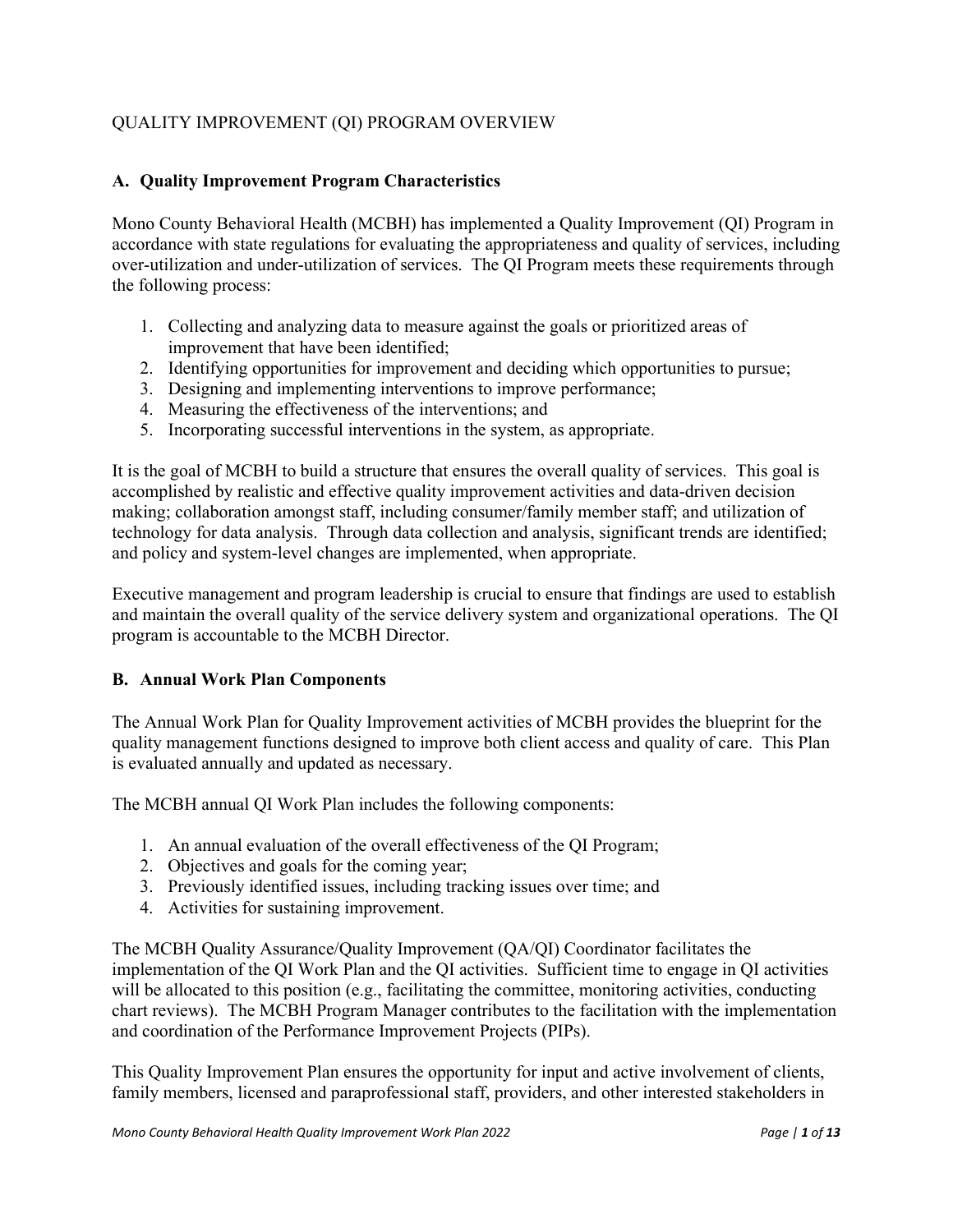# QUALITY IMPROVEMENT (QI) PROGRAM OVERVIEW

# <span id="page-2-0"></span>**A. Quality Improvement Program Characteristics**

Mono County Behavioral Health (MCBH) has implemented a Quality Improvement (QI) Program in accordance with state regulations for evaluating the appropriateness and quality of services, including over-utilization and under-utilization of services. The QI Program meets these requirements through the following process:

- 1. Collecting and analyzing data to measure against the goals or prioritized areas of improvement that have been identified;
- 2. Identifying opportunities for improvement and deciding which opportunities to pursue;
- 3. Designing and implementing interventions to improve performance;
- 4. Measuring the effectiveness of the interventions; and
- 5. Incorporating successful interventions in the system, as appropriate.

It is the goal of MCBH to build a structure that ensures the overall quality of services. This goal is accomplished by realistic and effective quality improvement activities and data-driven decision making; collaboration amongst staff, including consumer/family member staff; and utilization of technology for data analysis. Through data collection and analysis, significant trends are identified; and policy and system-level changes are implemented, when appropriate.

Executive management and program leadership is crucial to ensure that findings are used to establish and maintain the overall quality of the service delivery system and organizational operations. The QI program is accountable to the MCBH Director.

# <span id="page-2-1"></span>**B. Annual Work Plan Components**

The Annual Work Plan for Quality Improvement activities of MCBH provides the blueprint for the quality management functions designed to improve both client access and quality of care. This Plan is evaluated annually and updated as necessary.

The MCBH annual QI Work Plan includes the following components:

- 1. An annual evaluation of the overall effectiveness of the QI Program;
- 2. Objectives and goals for the coming year;
- 3. Previously identified issues, including tracking issues over time; and
- 4. Activities for sustaining improvement.

The MCBH Quality Assurance/Quality Improvement (QA/QI) Coordinator facilitates the implementation of the QI Work Plan and the QI activities. Sufficient time to engage in QI activities will be allocated to this position (e.g., facilitating the committee, monitoring activities, conducting chart reviews). The MCBH Program Manager contributes to the facilitation with the implementation and coordination of the Performance Improvement Projects (PIPs).

This Quality Improvement Plan ensures the opportunity for input and active involvement of clients, family members, licensed and paraprofessional staff, providers, and other interested stakeholders in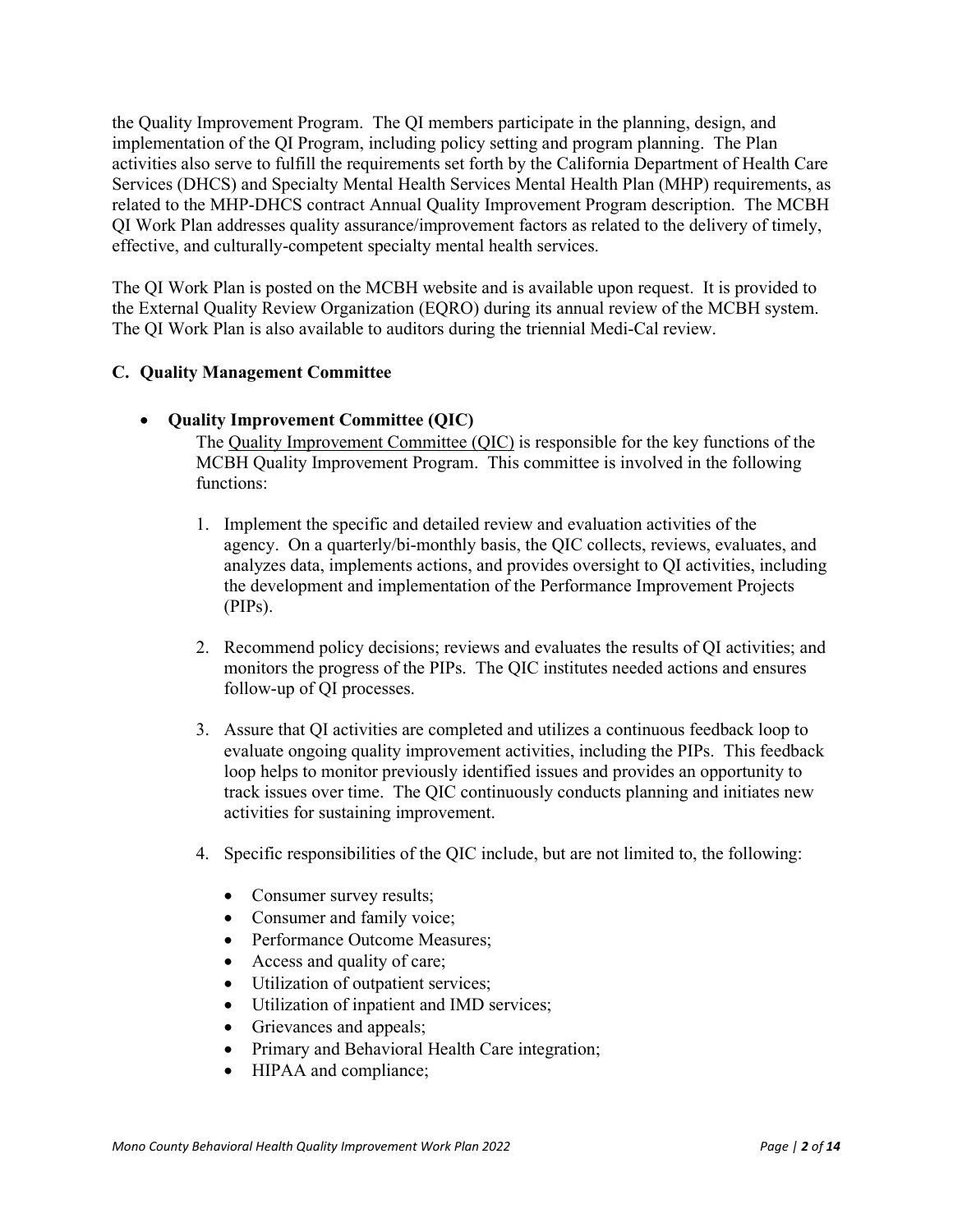the Quality Improvement Program. The QI members participate in the planning, design, and implementation of the QI Program, including policy setting and program planning. The Plan activities also serve to fulfill the requirements set forth by the California Department of Health Care Services (DHCS) and Specialty Mental Health Services Mental Health Plan (MHP) requirements, as related to the MHP-DHCS contract Annual Quality Improvement Program description. The MCBH QI Work Plan addresses quality assurance/improvement factors as related to the delivery of timely, effective, and culturally-competent specialty mental health services.

The QI Work Plan is posted on the MCBH website and is available upon request. It is provided to the External Quality Review Organization (EQRO) during its annual review of the MCBH system. The QI Work Plan is also available to auditors during the triennial Medi-Cal review.

# <span id="page-3-0"></span>**C. Quality Management Committee**

<span id="page-3-1"></span>• **Quality Improvement Committee (QIC)** 

The Quality Improvement Committee (QIC) is responsible for the key functions of the MCBH Quality Improvement Program. This committee is involved in the following functions:

- 1. Implement the specific and detailed review and evaluation activities of the agency. On a quarterly/bi-monthly basis, the QIC collects, reviews, evaluates, and analyzes data, implements actions, and provides oversight to QI activities, including the development and implementation of the Performance Improvement Projects (PIPs).
- 2. Recommend policy decisions; reviews and evaluates the results of QI activities; and monitors the progress of the PIPs. The QIC institutes needed actions and ensures follow-up of QI processes.
- 3. Assure that QI activities are completed and utilizes a continuous feedback loop to evaluate ongoing quality improvement activities, including the PIPs. This feedback loop helps to monitor previously identified issues and provides an opportunity to track issues over time. The QIC continuously conducts planning and initiates new activities for sustaining improvement.
- 4. Specific responsibilities of the QIC include, but are not limited to, the following:
	- Consumer survey results;
	- Consumer and family voice;
	- Performance Outcome Measures;
	- Access and quality of care;
	- Utilization of outpatient services;
	- Utilization of inpatient and IMD services;
	- Grievances and appeals;
	- Primary and Behavioral Health Care integration;
	- HIPAA and compliance: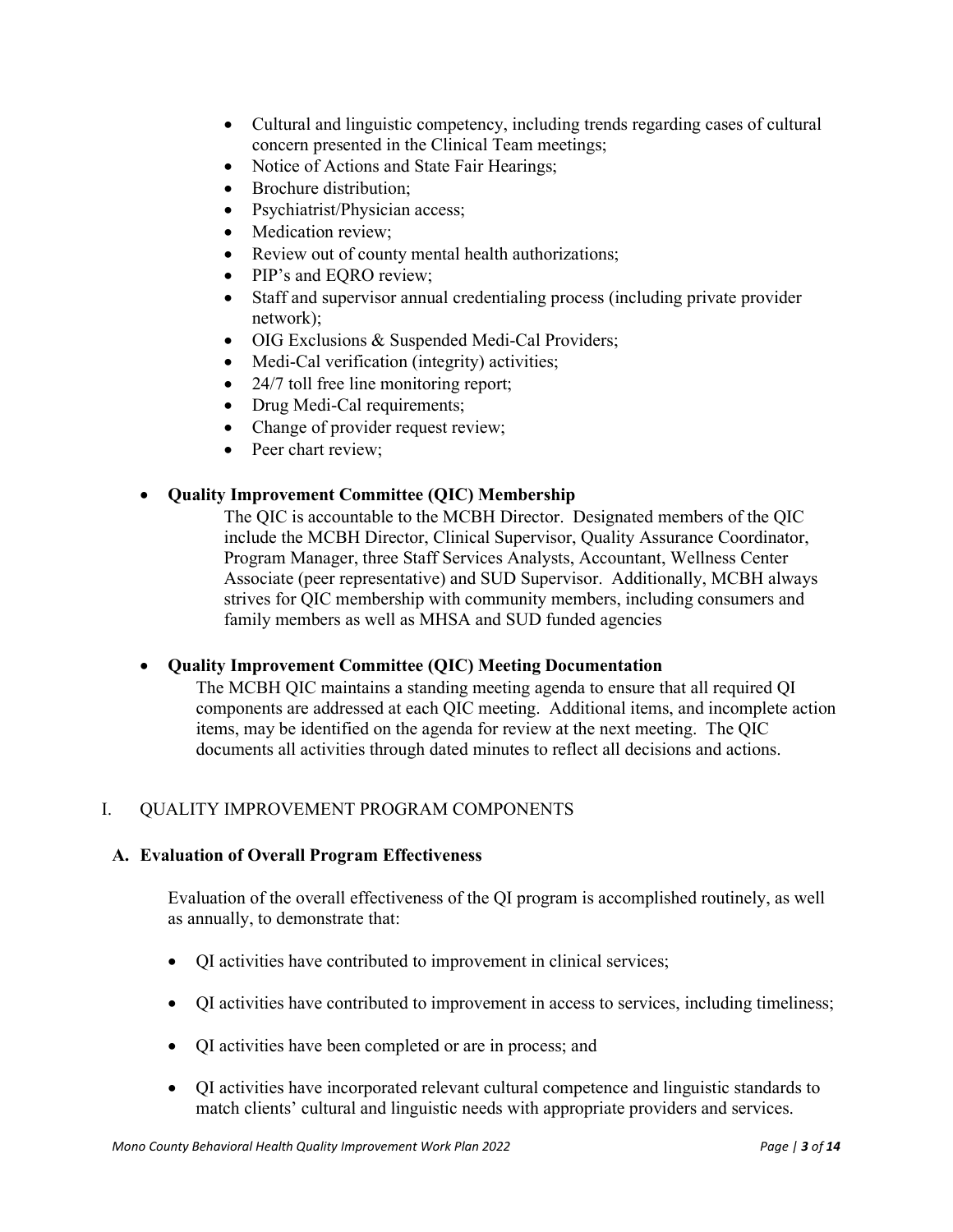- Cultural and linguistic competency, including trends regarding cases of cultural concern presented in the Clinical Team meetings;
- Notice of Actions and State Fair Hearings;
- Brochure distribution;
- Psychiatrist/Physician access;
- Medication review;
- Review out of county mental health authorizations;
- PIP's and EORO review;
- Staff and supervisor annual credentialing process (including private provider network);
- OIG Exclusions & Suspended Medi-Cal Providers;
- Medi-Cal verification (integrity) activities;
- 24/7 toll free line monitoring report;
- Drug Medi-Cal requirements;
- Change of provider request review;
- Peer chart review:

# <span id="page-4-0"></span>• **Quality Improvement Committee (QIC) Membership**

The QIC is accountable to the MCBH Director. Designated members of the QIC include the MCBH Director, Clinical Supervisor, Quality Assurance Coordinator, Program Manager, three Staff Services Analysts, Accountant, Wellness Center Associate (peer representative) and SUD Supervisor. Additionally, MCBH always strives for QIC membership with community members, including consumers and family members as well as MHSA and SUD funded agencies

# <span id="page-4-1"></span>• **Quality Improvement Committee (QIC) Meeting Documentation**

The MCBH QIC maintains a standing meeting agenda to ensure that all required QI components are addressed at each QIC meeting. Additional items, and incomplete action items, may be identified on the agenda for review at the next meeting. The QIC documents all activities through dated minutes to reflect all decisions and actions.

# <span id="page-4-2"></span>I. QUALITY IMPROVEMENT PROGRAM COMPONENTS

# <span id="page-4-3"></span>**A. Evaluation of Overall Program Effectiveness**

Evaluation of the overall effectiveness of the QI program is accomplished routinely, as well as annually, to demonstrate that:

- QI activities have contributed to improvement in clinical services;
- QI activities have contributed to improvement in access to services, including timeliness;
- QI activities have been completed or are in process; and
- QI activities have incorporated relevant cultural competence and linguistic standards to match clients' cultural and linguistic needs with appropriate providers and services.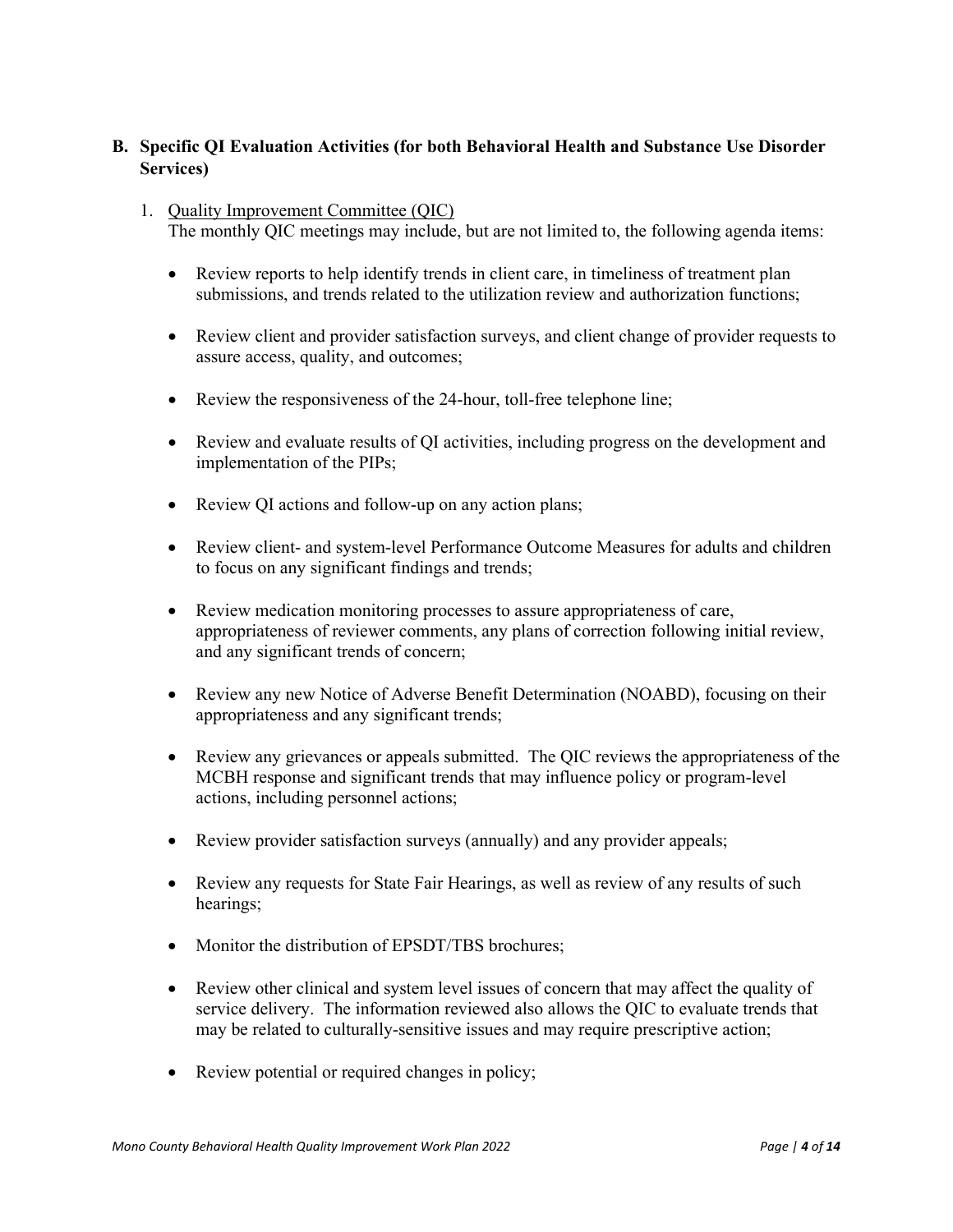# <span id="page-5-0"></span>**B. Specific QI Evaluation Activities (for both Behavioral Health and Substance Use Disorder Services)**

- 1. Quality Improvement Committee (QIC) The monthly QIC meetings may include, but are not limited to, the following agenda items:
	- Review reports to help identify trends in client care, in timeliness of treatment plan submissions, and trends related to the utilization review and authorization functions;
	- Review client and provider satisfaction surveys, and client change of provider requests to assure access, quality, and outcomes;
	- Review the responsiveness of the 24-hour, toll-free telephone line;
	- Review and evaluate results of QI activities, including progress on the development and implementation of the PIPs;
	- Review QI actions and follow-up on any action plans;
	- Review client- and system-level Performance Outcome Measures for adults and children to focus on any significant findings and trends;
	- Review medication monitoring processes to assure appropriateness of care, appropriateness of reviewer comments, any plans of correction following initial review, and any significant trends of concern;
	- Review any new Notice of Adverse Benefit Determination (NOABD), focusing on their appropriateness and any significant trends;
	- Review any grievances or appeals submitted. The QIC reviews the appropriateness of the MCBH response and significant trends that may influence policy or program-level actions, including personnel actions;
	- Review provider satisfaction surveys (annually) and any provider appeals;
	- Review any requests for State Fair Hearings, as well as review of any results of such hearings;
	- Monitor the distribution of EPSDT/TBS brochures;
	- Review other clinical and system level issues of concern that may affect the quality of service delivery. The information reviewed also allows the QIC to evaluate trends that may be related to culturally-sensitive issues and may require prescriptive action;
	- Review potential or required changes in policy;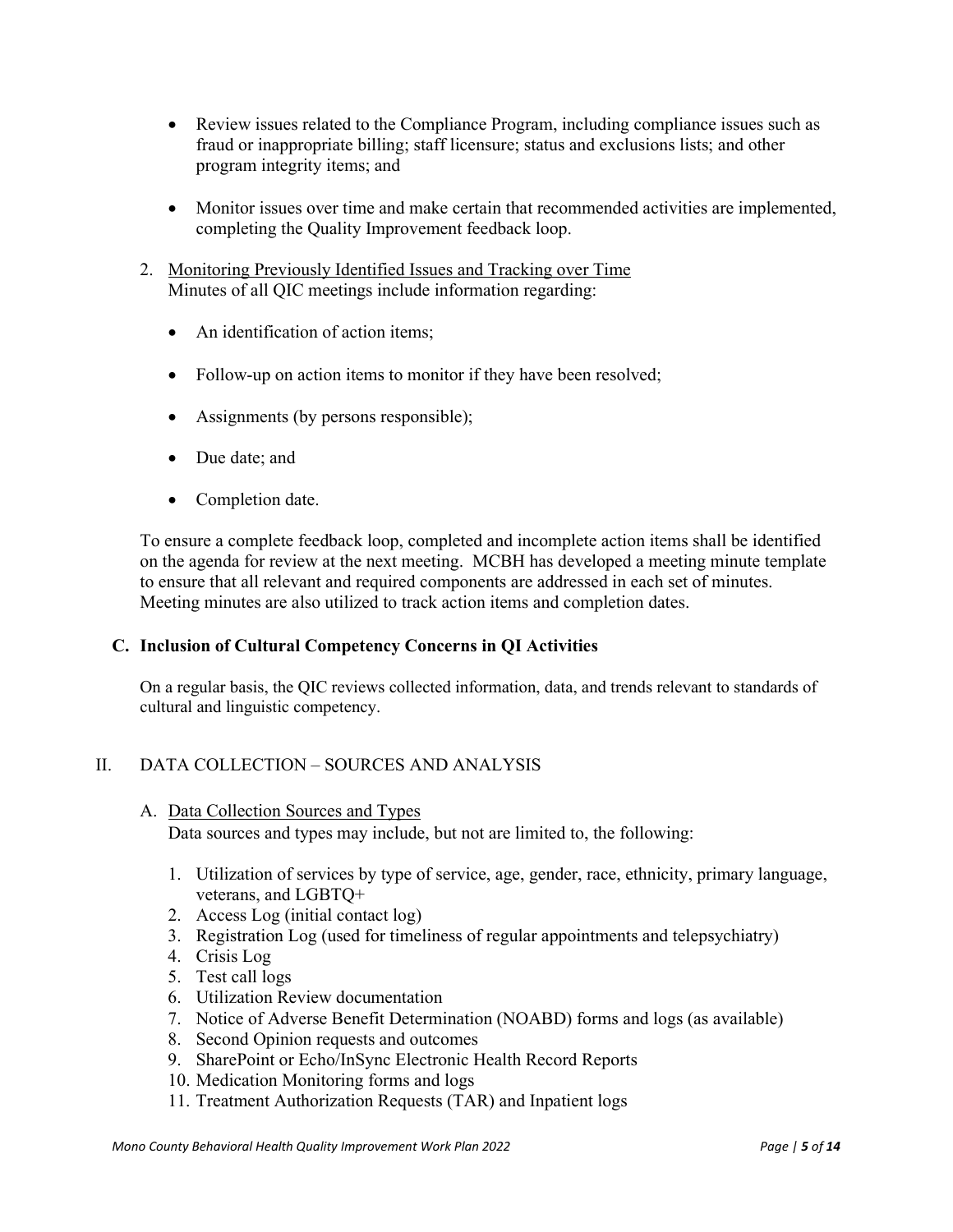- Review issues related to the Compliance Program, including compliance issues such as fraud or inappropriate billing; staff licensure; status and exclusions lists; and other program integrity items; and
- Monitor issues over time and make certain that recommended activities are implemented, completing the Quality Improvement feedback loop.
- 2. Monitoring Previously Identified Issues and Tracking over Time Minutes of all QIC meetings include information regarding:
	- An identification of action items:
	- Follow-up on action items to monitor if they have been resolved;
	- Assignments (by persons responsible);
	- Due date: and
	- Completion date.

To ensure a complete feedback loop, completed and incomplete action items shall be identified on the agenda for review at the next meeting. MCBH has developed a meeting minute template to ensure that all relevant and required components are addressed in each set of minutes. Meeting minutes are also utilized to track action items and completion dates.

# <span id="page-6-0"></span>**C. Inclusion of Cultural Competency Concerns in QI Activities**

On a regular basis, the QIC reviews collected information, data, and trends relevant to standards of cultural and linguistic competency.

# <span id="page-6-1"></span>II. DATA COLLECTION – SOURCES AND ANALYSIS

# <span id="page-6-2"></span>A. Data Collection Sources and Types

Data sources and types may include, but not are limited to, the following:

- 1. Utilization of services by type of service, age, gender, race, ethnicity, primary language, veterans, and LGBTQ+
- 2. Access Log (initial contact log)
- 3. Registration Log (used for timeliness of regular appointments and telepsychiatry)
- 4. Crisis Log
- 5. Test call logs
- 6. Utilization Review documentation
- 7. Notice of Adverse Benefit Determination (NOABD) forms and logs (as available)
- 8. Second Opinion requests and outcomes
- 9. SharePoint or Echo/InSync Electronic Health Record Reports
- 10. Medication Monitoring forms and logs
- 11. Treatment Authorization Requests (TAR) and Inpatient logs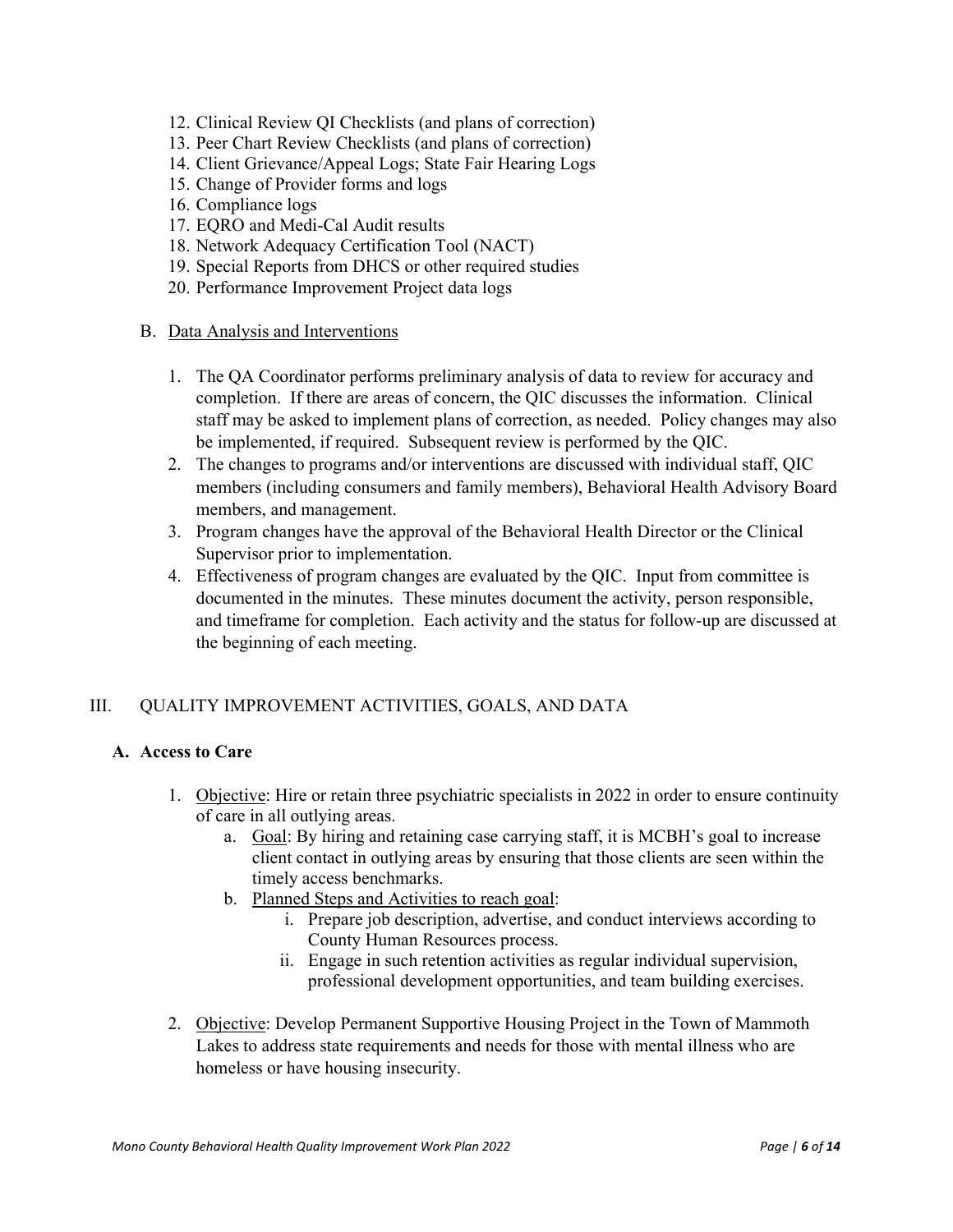- 12. Clinical Review QI Checklists (and plans of correction)
- 13. Peer Chart Review Checklists (and plans of correction)
- 14. Client Grievance/Appeal Logs; State Fair Hearing Logs
- 15. Change of Provider forms and logs
- 16. Compliance logs
- 17. EQRO and Medi-Cal Audit results
- 18. Network Adequacy Certification Tool (NACT)
- 19. Special Reports from DHCS or other required studies
- 20. Performance Improvement Project data logs

# <span id="page-7-0"></span>B. Data Analysis and Interventions

- 1. The QA Coordinator performs preliminary analysis of data to review for accuracy and completion. If there are areas of concern, the QIC discusses the information. Clinical staff may be asked to implement plans of correction, as needed. Policy changes may also be implemented, if required. Subsequent review is performed by the QIC.
- 2. The changes to programs and/or interventions are discussed with individual staff, QIC members (including consumers and family members), Behavioral Health Advisory Board members, and management.
- 3. Program changes have the approval of the Behavioral Health Director or the Clinical Supervisor prior to implementation.
- 4. Effectiveness of program changes are evaluated by the QIC. Input from committee is documented in the minutes. These minutes document the activity, person responsible, and timeframe for completion. Each activity and the status for follow-up are discussed at the beginning of each meeting.

# <span id="page-7-1"></span>III. QUALITY IMPROVEMENT ACTIVITIES, GOALS, AND DATA

# <span id="page-7-2"></span>**A. Access to Care**

- 1. Objective: Hire or retain three psychiatric specialists in 2022 in order to ensure continuity of care in all outlying areas.
	- a. Goal: By hiring and retaining case carrying staff, it is MCBH's goal to increase client contact in outlying areas by ensuring that those clients are seen within the timely access benchmarks.
	- b. Planned Steps and Activities to reach goal:
		- i. Prepare job description, advertise, and conduct interviews according to County Human Resources process.
		- ii. Engage in such retention activities as regular individual supervision, professional development opportunities, and team building exercises.
- 2. Objective: Develop Permanent Supportive Housing Project in the Town of Mammoth Lakes to address state requirements and needs for those with mental illness who are homeless or have housing insecurity.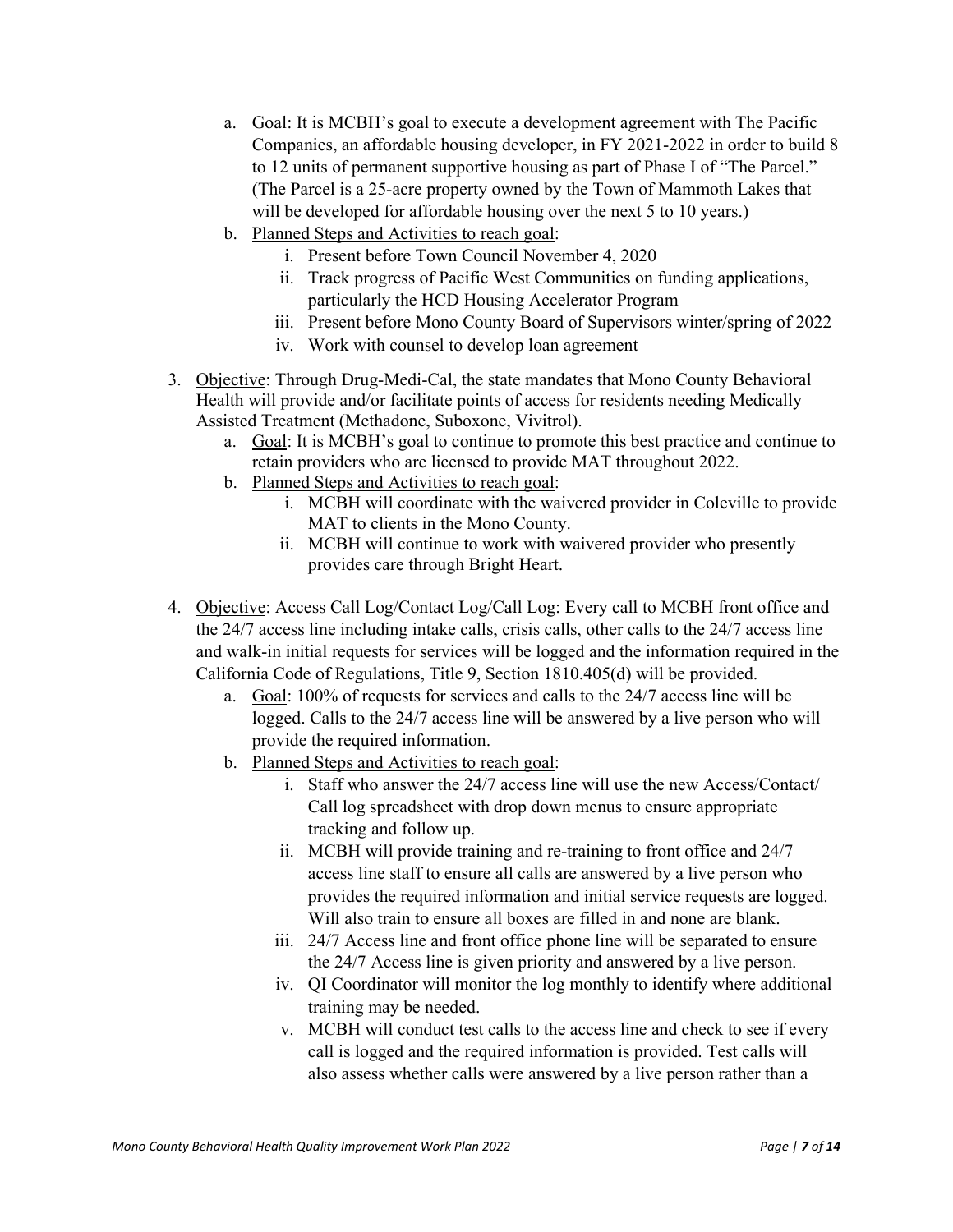- a. Goal: It is MCBH's goal to execute a development agreement with The Pacific Companies, an affordable housing developer, in FY 2021-2022 in order to build 8 to 12 units of permanent supportive housing as part of Phase I of "The Parcel." (The Parcel is a 25-acre property owned by the Town of Mammoth Lakes that will be developed for affordable housing over the next 5 to 10 years.)
- b. Planned Steps and Activities to reach goal:
	- i. Present before Town Council November 4, 2020
	- ii. Track progress of Pacific West Communities on funding applications, particularly the HCD Housing Accelerator Program
	- iii. Present before Mono County Board of Supervisors winter/spring of 2022
	- iv. Work with counsel to develop loan agreement
- 3. Objective: Through Drug-Medi-Cal, the state mandates that Mono County Behavioral Health will provide and/or facilitate points of access for residents needing Medically Assisted Treatment (Methadone, Suboxone, Vivitrol).
	- a. Goal: It is MCBH's goal to continue to promote this best practice and continue to retain providers who are licensed to provide MAT throughout 2022.
	- b. Planned Steps and Activities to reach goal:
		- i. MCBH will coordinate with the waivered provider in Coleville to provide MAT to clients in the Mono County.
		- ii. MCBH will continue to work with waivered provider who presently provides care through Bright Heart.
- 4. Objective: Access Call Log/Contact Log/Call Log: Every call to MCBH front office and the 24/7 access line including intake calls, crisis calls, other calls to the 24/7 access line and walk-in initial requests for services will be logged and the information required in the California Code of Regulations, Title 9, Section 1810.405(d) will be provided.
	- a. Goal: 100% of requests for services and calls to the 24/7 access line will be logged. Calls to the 24/7 access line will be answered by a live person who will provide the required information.
	- b. Planned Steps and Activities to reach goal:
		- i. Staff who answer the 24/7 access line will use the new Access/Contact/ Call log spreadsheet with drop down menus to ensure appropriate tracking and follow up.
		- ii. MCBH will provide training and re-training to front office and 24/7 access line staff to ensure all calls are answered by a live person who provides the required information and initial service requests are logged. Will also train to ensure all boxes are filled in and none are blank.
		- iii. 24/7 Access line and front office phone line will be separated to ensure the 24/7 Access line is given priority and answered by a live person.
		- iv. QI Coordinator will monitor the log monthly to identify where additional training may be needed.
		- v. MCBH will conduct test calls to the access line and check to see if every call is logged and the required information is provided. Test calls will also assess whether calls were answered by a live person rather than a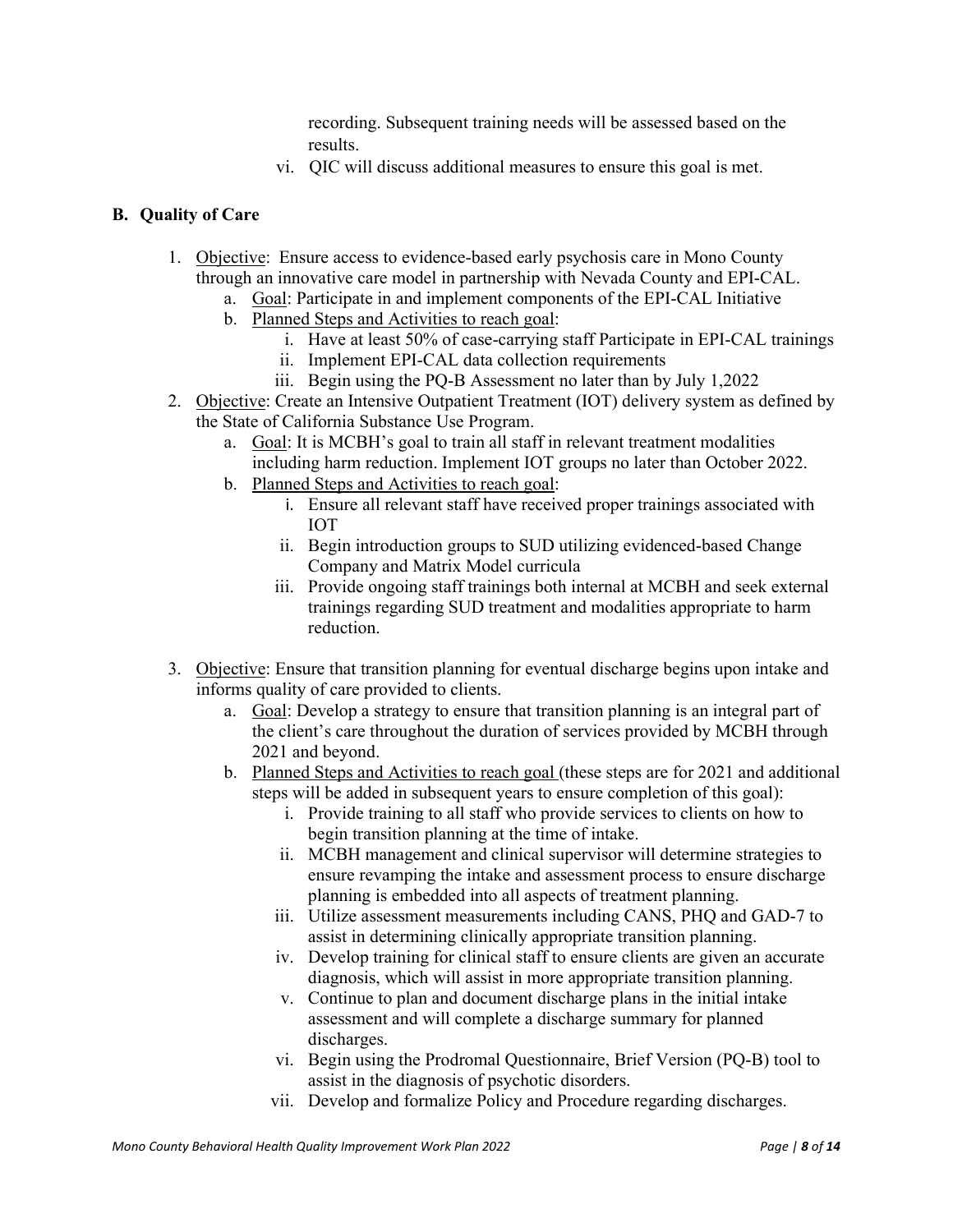recording. Subsequent training needs will be assessed based on the results.

vi. QIC will discuss additional measures to ensure this goal is met.

# <span id="page-9-0"></span>**B. Quality of Care**

- 1. Objective: Ensure access to evidence-based early psychosis care in Mono County through an innovative care model in partnership with Nevada County and EPI-CAL.
	- a. Goal: Participate in and implement components of the EPI-CAL Initiative
	- b. Planned Steps and Activities to reach goal:
		- i. Have at least 50% of case-carrying staff Participate in EPI-CAL trainings
		- ii. Implement EPI-CAL data collection requirements
		- iii. Begin using the PQ-B Assessment no later than by July 1,2022
- 2. Objective: Create an Intensive Outpatient Treatment (IOT) delivery system as defined by the State of California Substance Use Program.
	- a. Goal: It is MCBH's goal to train all staff in relevant treatment modalities including harm reduction. Implement IOT groups no later than October 2022.
	- b. Planned Steps and Activities to reach goal:
		- i. Ensure all relevant staff have received proper trainings associated with IOT
		- ii. Begin introduction groups to SUD utilizing evidenced-based Change Company and Matrix Model curricula
		- iii. Provide ongoing staff trainings both internal at MCBH and seek external trainings regarding SUD treatment and modalities appropriate to harm reduction.
- 3. Objective: Ensure that transition planning for eventual discharge begins upon intake and informs quality of care provided to clients.
	- a. Goal: Develop a strategy to ensure that transition planning is an integral part of the client's care throughout the duration of services provided by MCBH through 2021 and beyond.
	- b. Planned Steps and Activities to reach goal (these steps are for 2021 and additional steps will be added in subsequent years to ensure completion of this goal):
		- i. Provide training to all staff who provide services to clients on how to begin transition planning at the time of intake.
		- ii. MCBH management and clinical supervisor will determine strategies to ensure revamping the intake and assessment process to ensure discharge planning is embedded into all aspects of treatment planning.
		- iii. Utilize assessment measurements including CANS, PHQ and GAD-7 to assist in determining clinically appropriate transition planning.
		- iv. Develop training for clinical staff to ensure clients are given an accurate diagnosis, which will assist in more appropriate transition planning.
		- v. Continue to plan and document discharge plans in the initial intake assessment and will complete a discharge summary for planned discharges.
		- vi. Begin using the Prodromal Questionnaire, Brief Version (PQ-B) tool to assist in the diagnosis of psychotic disorders.
		- vii. Develop and formalize Policy and Procedure regarding discharges.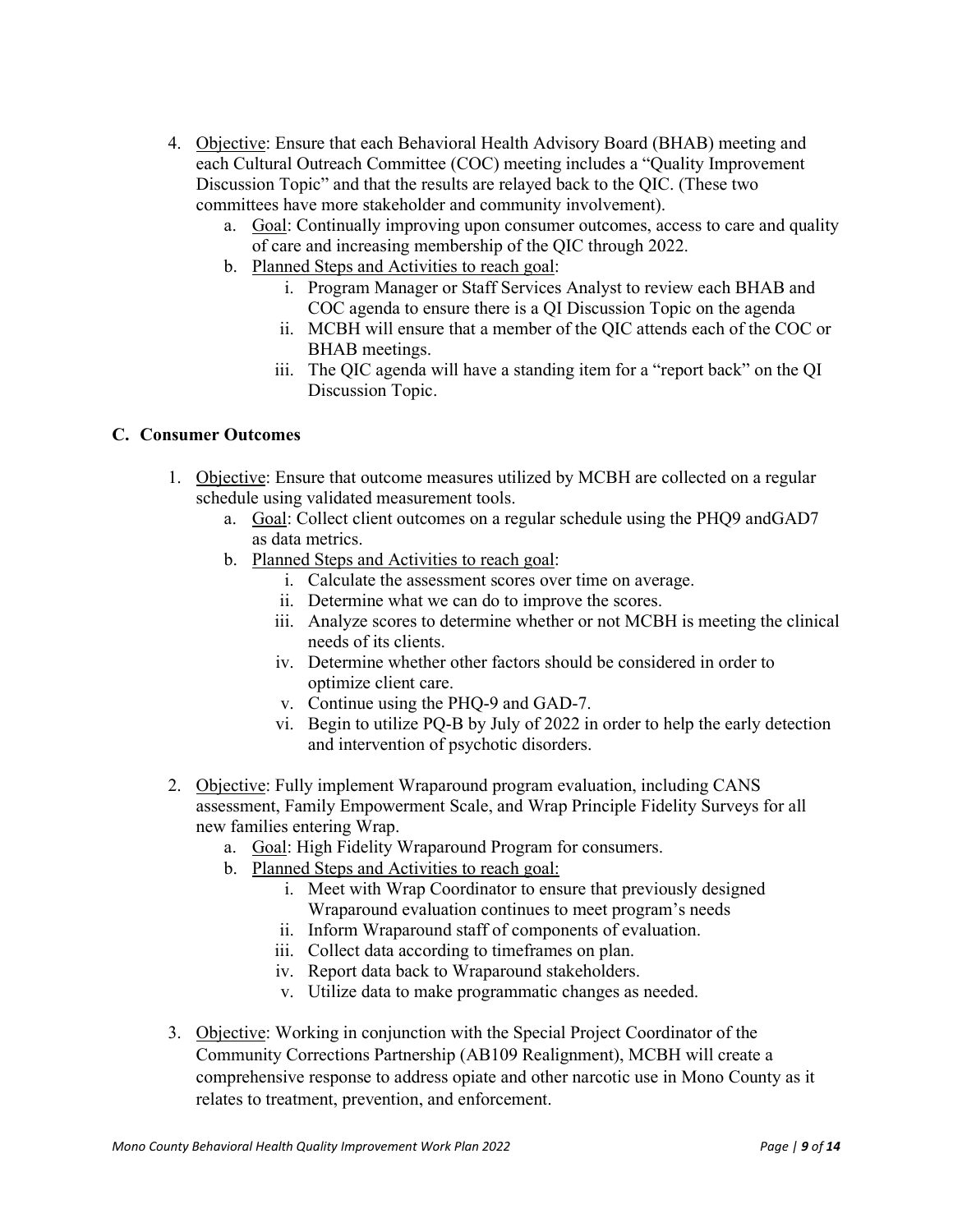- 4. Objective: Ensure that each Behavioral Health Advisory Board (BHAB) meeting and each Cultural Outreach Committee (COC) meeting includes a "Quality Improvement Discussion Topic" and that the results are relayed back to the QIC. (These two committees have more stakeholder and community involvement).
	- a. Goal: Continually improving upon consumer outcomes, access to care and quality of care and increasing membership of the QIC through 2022.
	- b. Planned Steps and Activities to reach goal:
		- i. Program Manager or Staff Services Analyst to review each BHAB and COC agenda to ensure there is a QI Discussion Topic on the agenda
		- ii. MCBH will ensure that a member of the QIC attends each of the COC or BHAB meetings.
		- iii. The QIC agenda will have a standing item for a "report back" on the QI Discussion Topic.

# <span id="page-10-0"></span>**C. Consumer Outcomes**

- 1. Objective: Ensure that outcome measures utilized by MCBH are collected on a regular schedule using validated measurement tools.
	- a. Goal: Collect client outcomes on a regular schedule using the PHQ9 andGAD7 as data metrics.
	- b. Planned Steps and Activities to reach goal:
		- i. Calculate the assessment scores over time on average.
		- ii. Determine what we can do to improve the scores.
		- iii. Analyze scores to determine whether or not MCBH is meeting the clinical needs of its clients.
		- iv. Determine whether other factors should be considered in order to optimize client care.
		- v. Continue using the PHQ-9 and GAD-7.
		- vi. Begin to utilize PQ-B by July of 2022 in order to help the early detection and intervention of psychotic disorders.
- 2. Objective: Fully implement Wraparound program evaluation, including CANS assessment, Family Empowerment Scale, and Wrap Principle Fidelity Surveys for all new families entering Wrap.
	- a. Goal: High Fidelity Wraparound Program for consumers.
	- b. Planned Steps and Activities to reach goal:
		- i. Meet with Wrap Coordinator to ensure that previously designed Wraparound evaluation continues to meet program's needs
		- ii. Inform Wraparound staff of components of evaluation.
		- iii. Collect data according to timeframes on plan.
		- iv. Report data back to Wraparound stakeholders.
		- v. Utilize data to make programmatic changes as needed.
- 3. Objective: Working in conjunction with the Special Project Coordinator of the Community Corrections Partnership (AB109 Realignment), MCBH will create a comprehensive response to address opiate and other narcotic use in Mono County as it relates to treatment, prevention, and enforcement.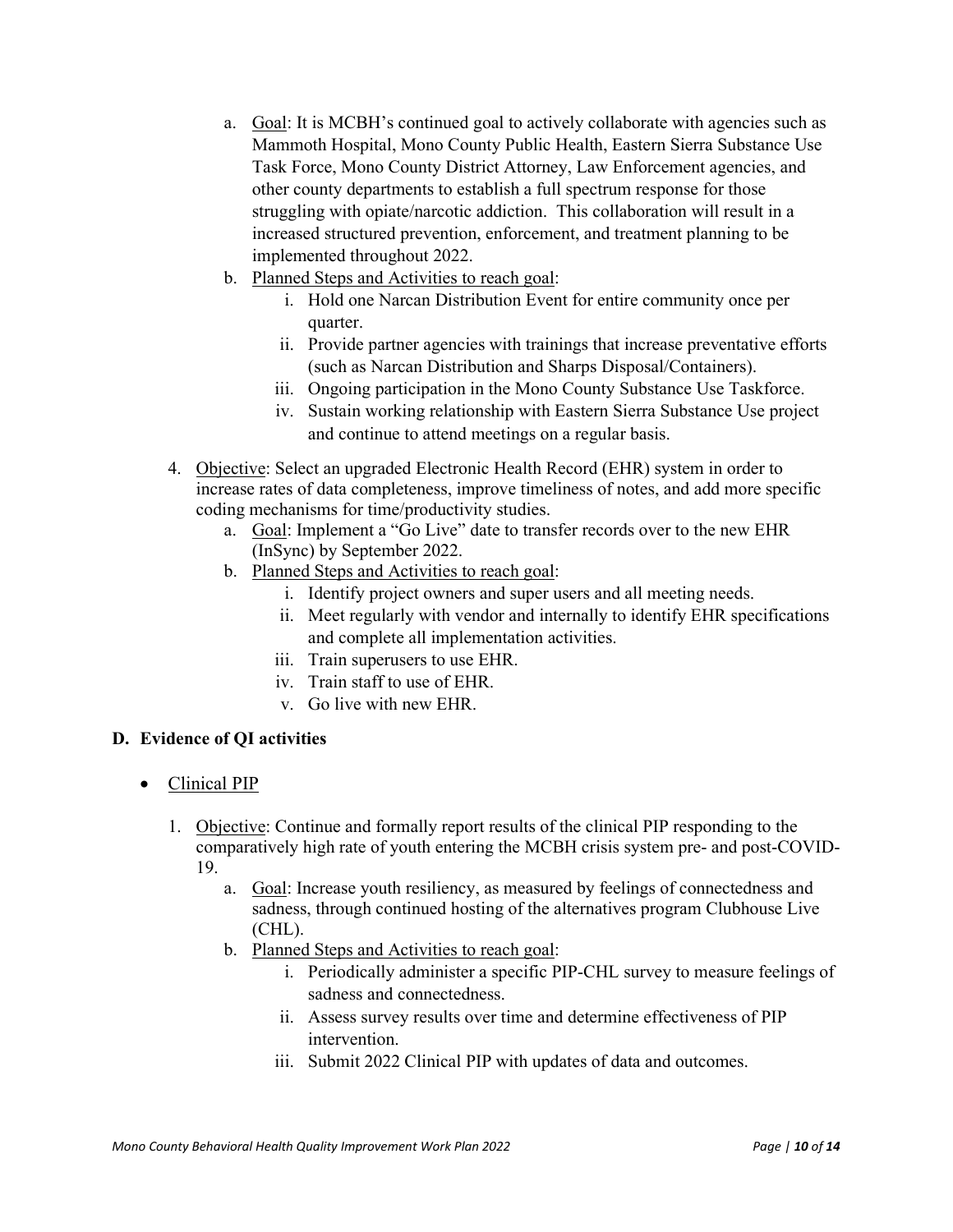- a. Goal: It is MCBH's continued goal to actively collaborate with agencies such as Mammoth Hospital, Mono County Public Health, Eastern Sierra Substance Use Task Force, Mono County District Attorney, Law Enforcement agencies, and other county departments to establish a full spectrum response for those struggling with opiate/narcotic addiction. This collaboration will result in a increased structured prevention, enforcement, and treatment planning to be implemented throughout 2022.
- b. Planned Steps and Activities to reach goal:
	- i. Hold one Narcan Distribution Event for entire community once per quarter.
	- ii. Provide partner agencies with trainings that increase preventative efforts (such as Narcan Distribution and Sharps Disposal/Containers).
	- iii. Ongoing participation in the Mono County Substance Use Taskforce.
	- iv. Sustain working relationship with Eastern Sierra Substance Use project and continue to attend meetings on a regular basis.
- 4. Objective: Select an upgraded Electronic Health Record (EHR) system in order to increase rates of data completeness, improve timeliness of notes, and add more specific coding mechanisms for time/productivity studies.
	- a. Goal: Implement a "Go Live" date to transfer records over to the new EHR (InSync) by September 2022.
	- b. Planned Steps and Activities to reach goal:
		- i. Identify project owners and super users and all meeting needs.
		- ii. Meet regularly with vendor and internally to identify EHR specifications and complete all implementation activities.
		- iii. Train superusers to use EHR.
		- iv. Train staff to use of EHR.
		- v. Go live with new EHR.

# <span id="page-11-0"></span>**D. Evidence of QI activities**

- <span id="page-11-1"></span>• Clinical PIP
	- 1. Objective: Continue and formally report results of the clinical PIP responding to the comparatively high rate of youth entering the MCBH crisis system pre- and post-COVID-19.
		- a. Goal: Increase youth resiliency, as measured by feelings of connectedness and sadness, through continued hosting of the alternatives program Clubhouse Live (CHL).
		- b. Planned Steps and Activities to reach goal:
			- i. Periodically administer a specific PIP-CHL survey to measure feelings of sadness and connectedness.
			- ii. Assess survey results over time and determine effectiveness of PIP intervention.
			- iii. Submit 2022 Clinical PIP with updates of data and outcomes.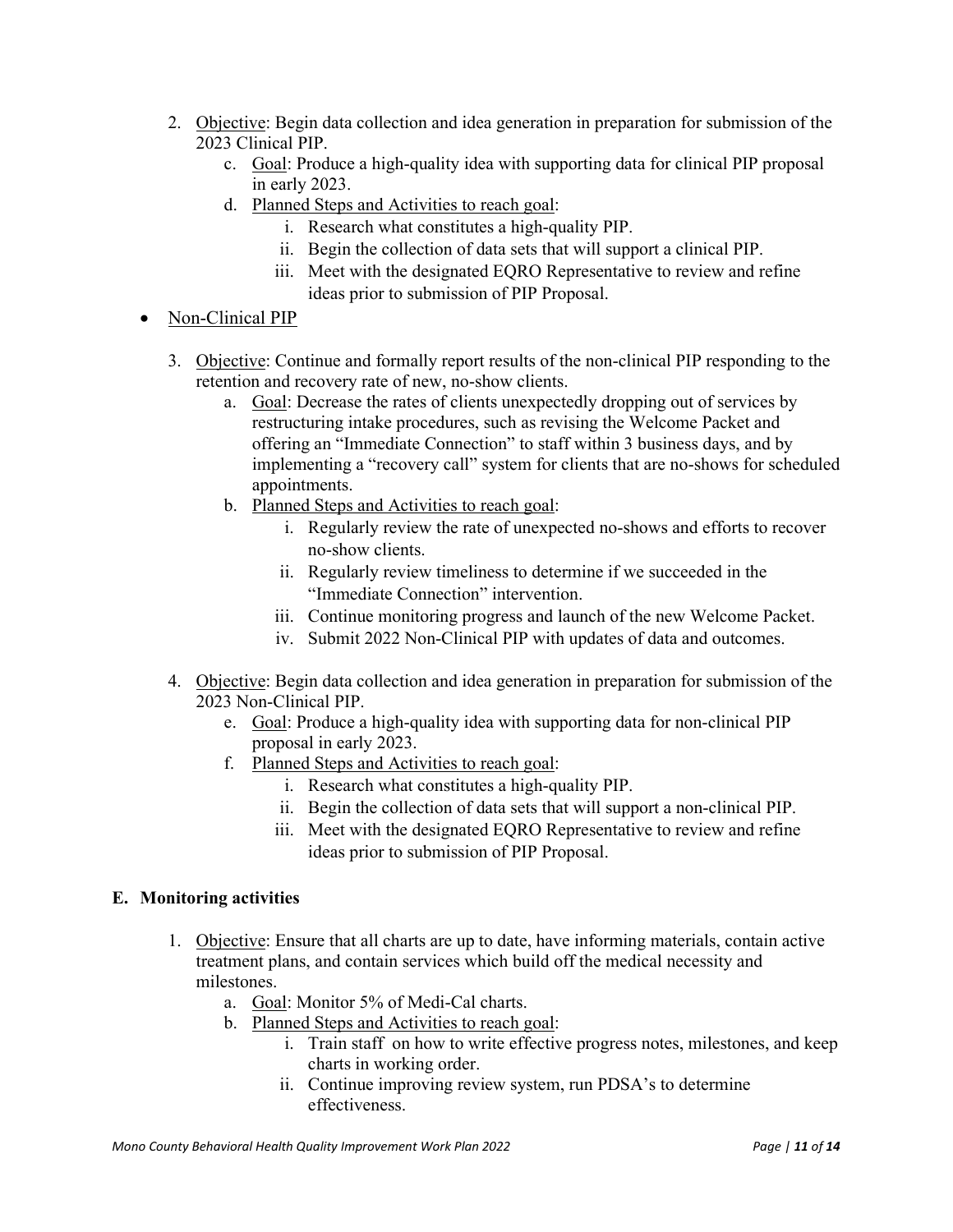- 2. Objective: Begin data collection and idea generation in preparation for submission of the 2023 Clinical PIP.
	- c. Goal: Produce a high-quality idea with supporting data for clinical PIP proposal in early 2023.
	- d. Planned Steps and Activities to reach goal:
		- i. Research what constitutes a high-quality PIP.
		- ii. Begin the collection of data sets that will support a clinical PIP.
		- iii. Meet with the designated EQRO Representative to review and refine ideas prior to submission of PIP Proposal.
- <span id="page-12-0"></span>• Non-Clinical PIP
	- 3. Objective: Continue and formally report results of the non-clinical PIP responding to the retention and recovery rate of new, no-show clients.
		- a. Goal: Decrease the rates of clients unexpectedly dropping out of services by restructuring intake procedures, such as revising the Welcome Packet and offering an "Immediate Connection" to staff within 3 business days, and by implementing a "recovery call" system for clients that are no-shows for scheduled appointments.
		- b. Planned Steps and Activities to reach goal:
			- i. Regularly review the rate of unexpected no-shows and efforts to recover no-show clients.
			- ii. Regularly review timeliness to determine if we succeeded in the "Immediate Connection" intervention.
			- iii. Continue monitoring progress and launch of the new Welcome Packet.
			- iv. Submit 2022 Non-Clinical PIP with updates of data and outcomes.
	- 4. Objective: Begin data collection and idea generation in preparation for submission of the 2023 Non-Clinical PIP.
		- e. Goal: Produce a high-quality idea with supporting data for non-clinical PIP proposal in early 2023.
		- f. Planned Steps and Activities to reach goal:
			- i. Research what constitutes a high-quality PIP.
			- ii. Begin the collection of data sets that will support a non-clinical PIP.
			- iii. Meet with the designated EQRO Representative to review and refine ideas prior to submission of PIP Proposal.

# <span id="page-12-1"></span>**E. Monitoring activities**

- 1. Objective: Ensure that all charts are up to date, have informing materials, contain active treatment plans, and contain services which build off the medical necessity and milestones.
	- a. Goal: Monitor 5% of Medi-Cal charts.
	- b. Planned Steps and Activities to reach goal:
		- i. Train staff on how to write effective progress notes, milestones, and keep charts in working order.
		- ii. Continue improving review system, run PDSA's to determine effectiveness.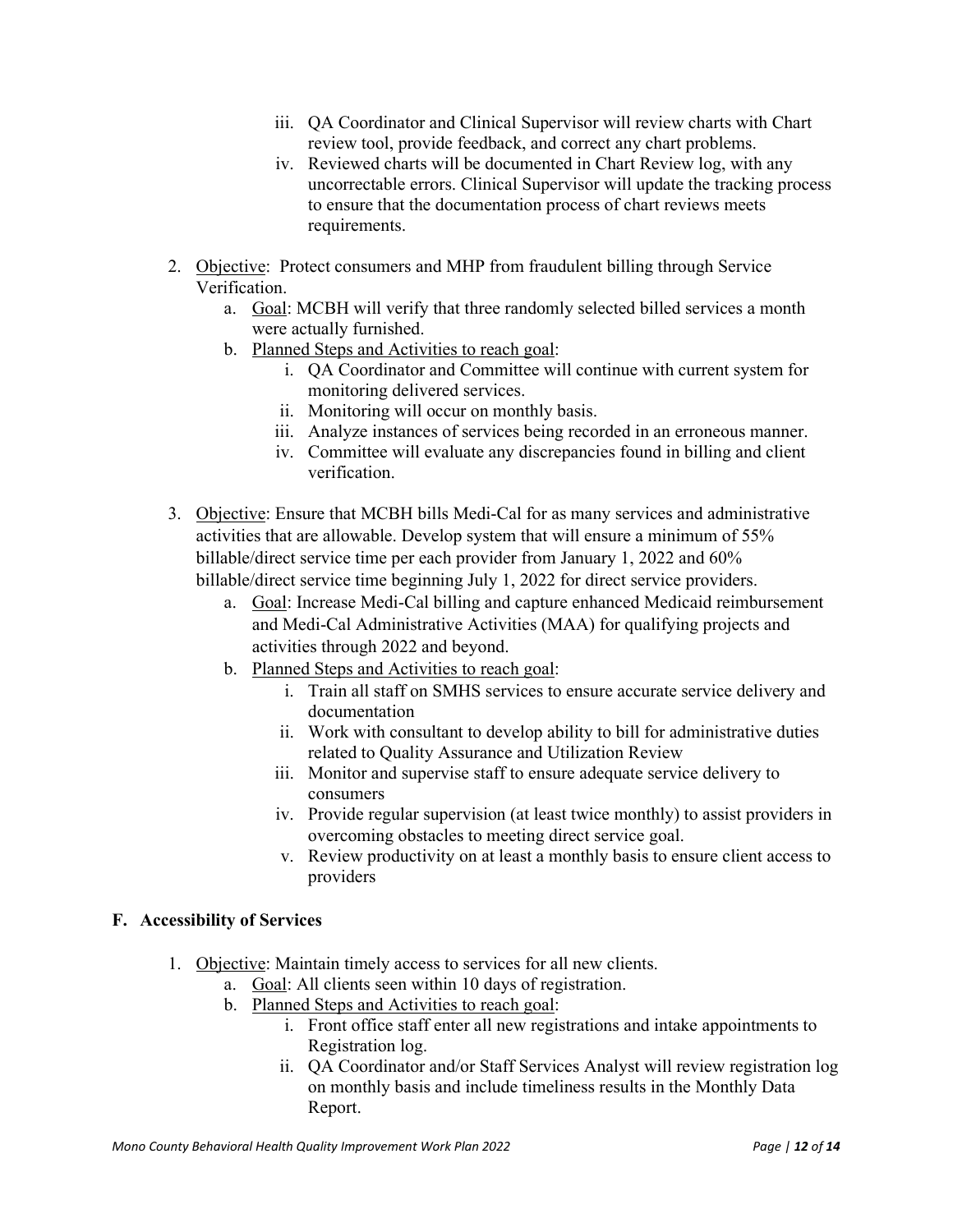- iii. QA Coordinator and Clinical Supervisor will review charts with Chart review tool, provide feedback, and correct any chart problems.
- iv. Reviewed charts will be documented in Chart Review log, with any uncorrectable errors. Clinical Supervisor will update the tracking process to ensure that the documentation process of chart reviews meets requirements.
- 2. Objective: Protect consumers and MHP from fraudulent billing through Service Verification.
	- a. Goal: MCBH will verify that three randomly selected billed services a month were actually furnished.
	- b. Planned Steps and Activities to reach goal:
		- i. QA Coordinator and Committee will continue with current system for monitoring delivered services.
		- ii. Monitoring will occur on monthly basis.
		- iii. Analyze instances of services being recorded in an erroneous manner.
		- iv. Committee will evaluate any discrepancies found in billing and client verification.
- 3. Objective: Ensure that MCBH bills Medi-Cal for as many services and administrative activities that are allowable. Develop system that will ensure a minimum of 55% billable/direct service time per each provider from January 1, 2022 and 60% billable/direct service time beginning July 1, 2022 for direct service providers.
	- a. Goal: Increase Medi-Cal billing and capture enhanced Medicaid reimbursement and Medi-Cal Administrative Activities (MAA) for qualifying projects and activities through 2022 and beyond.
	- b. Planned Steps and Activities to reach goal:
		- i. Train all staff on SMHS services to ensure accurate service delivery and documentation
		- ii. Work with consultant to develop ability to bill for administrative duties related to Quality Assurance and Utilization Review
		- iii. Monitor and supervise staff to ensure adequate service delivery to consumers
		- iv. Provide regular supervision (at least twice monthly) to assist providers in overcoming obstacles to meeting direct service goal.
		- v. Review productivity on at least a monthly basis to ensure client access to providers

# <span id="page-13-0"></span>**F. Accessibility of Services**

- 1. Objective: Maintain timely access to services for all new clients.
	- a. Goal: All clients seen within 10 days of registration.
	- b. Planned Steps and Activities to reach goal:
		- i. Front office staff enter all new registrations and intake appointments to Registration log.
		- ii. QA Coordinator and/or Staff Services Analyst will review registration log on monthly basis and include timeliness results in the Monthly Data Report.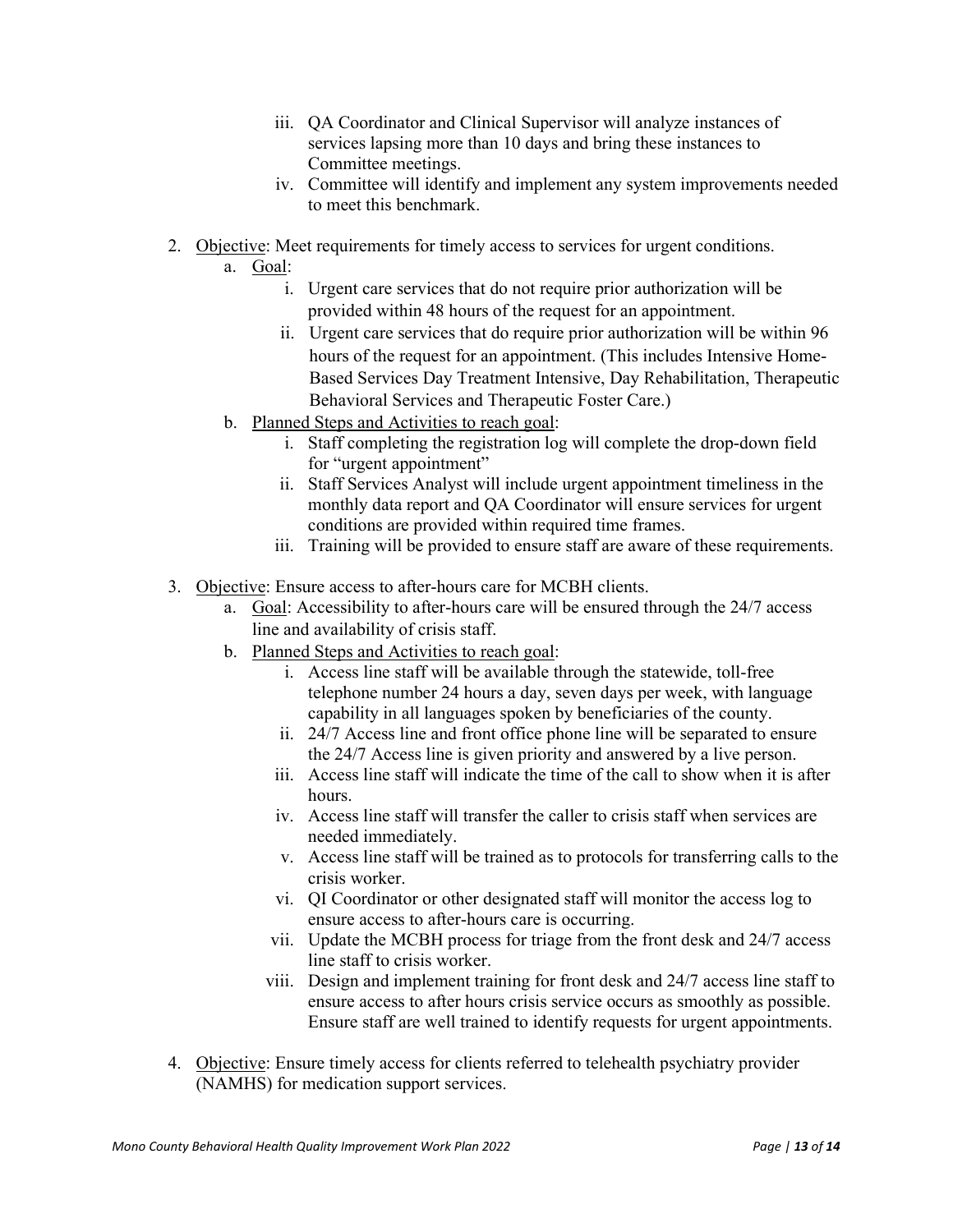- iii. QA Coordinator and Clinical Supervisor will analyze instances of services lapsing more than 10 days and bring these instances to Committee meetings.
- iv. Committee will identify and implement any system improvements needed to meet this benchmark.
- 2. Objective: Meet requirements for timely access to services for urgent conditions.
	- a. Goal:
		- i. Urgent care services that do not require prior authorization will be provided within 48 hours of the request for an appointment.
		- ii. Urgent care services that do require prior authorization will be within 96 hours of the request for an appointment. (This includes Intensive Home-Based Services Day Treatment Intensive, Day Rehabilitation, Therapeutic Behavioral Services and Therapeutic Foster Care.)
	- b. Planned Steps and Activities to reach goal:
		- i. Staff completing the registration log will complete the drop-down field for "urgent appointment"
		- ii. Staff Services Analyst will include urgent appointment timeliness in the monthly data report and QA Coordinator will ensure services for urgent conditions are provided within required time frames.
		- iii. Training will be provided to ensure staff are aware of these requirements.
- 3. Objective: Ensure access to after-hours care for MCBH clients.
	- a. Goal: Accessibility to after-hours care will be ensured through the 24/7 access line and availability of crisis staff.
	- b. Planned Steps and Activities to reach goal:
		- i. Access line staff will be available through the statewide, toll-free telephone number 24 hours a day, seven days per week, with language capability in all languages spoken by beneficiaries of the county.
		- ii. 24/7 Access line and front office phone line will be separated to ensure the 24/7 Access line is given priority and answered by a live person.
		- iii. Access line staff will indicate the time of the call to show when it is after hours.
		- iv. Access line staff will transfer the caller to crisis staff when services are needed immediately.
		- v. Access line staff will be trained as to protocols for transferring calls to the crisis worker.
		- vi. QI Coordinator or other designated staff will monitor the access log to ensure access to after-hours care is occurring.
		- vii. Update the MCBH process for triage from the front desk and 24/7 access line staff to crisis worker.
		- viii. Design and implement training for front desk and 24/7 access line staff to ensure access to after hours crisis service occurs as smoothly as possible. Ensure staff are well trained to identify requests for urgent appointments.
- 4. Objective: Ensure timely access for clients referred to telehealth psychiatry provider (NAMHS) for medication support services.